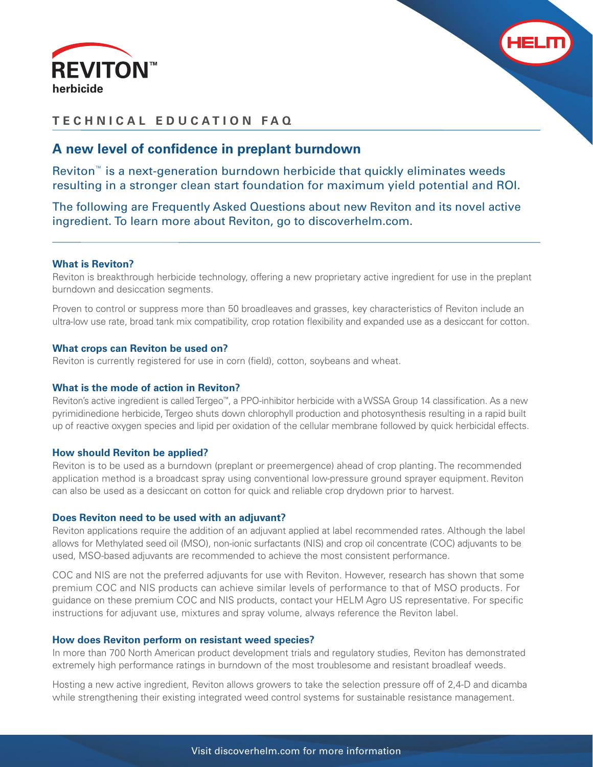



# **TECHNICAL EDUCATION FAQ**

# A new level of confidence in preplant burndown

Reviton™ is a next-generation burndown herbicide that quickly eliminates weeds resulting in a stronger clean start foundation for maximum yield potential and ROI.

The following are Frequently Asked Questions about new Reviton and its novel active ingredient. To learn more about Reviton, go to discoverhelm.com.

# **What is Reviton?**

Reviton is breakthrough herbicide technology, offering a new proprietary active ingredient for use in the preplant burndown and desiccation segments.

Proven to control or suppress more than 50 broadleaves and grasses, key characteristics of Reviton include an ultra-low use rate, broad tank mix compatibility, crop rotation flexibility and expanded use as a desiccant for cotton.

### **What crops can Reviton be used on?**

Reviton is currently registered for use in corn (field), cotton, soybeans and wheat.

### **What is the mode of action in Reviton?**

Reviton's active ingredient is called Tergeo™, a PPO-inhibitor herbicide with a WSSA Group 14 classification. As a new pyrimidinedione herbicide, Tergeo shuts down chlorophyll production and photosynthesis resulting in a rapid built up of reactive oxygen species and lipid per oxidation of the cellular membrane followed by quick herbicidal effects.

### **How should Reviton be applied?**

Reviton is to be used as a burndown (preplant or preemergence) ahead of crop planting. The recommended application method is a broadcast spray using conventional low-pressure ground sprayer equipment. Reviton can also be used as a desiccant on cotton for quick and reliable crop drydown prior to harvest.

### **Does Reviton need to be used with an adjuvant?**

Reviton applications require the addition of an adjuvant applied at label recommended rates. Although the label allows for Methylated seed oil (MSO), non-ionic surfactants (NIS) and crop oil concentrate (COC) adjuvants to be used, MSO-based adjuvants are recommended to achieve the most consistent performance.

COC and NIS are not the preferred adjuvants for use with Reviton. However, research has shown that some premium COC and NIS products can achieve similar levels of performance to that of MSO products. For guidance on these premium COC and NIS products, contact your HELM Agro US representative. For specific instructions for adjuvant use, mixtures and spray volume, always reference the Reviton label.

#### **How does Reviton perform on resistant weed species?**

In more than 700 North American product development trials and regulatory studies, Reviton has demonstrated extremely high performance ratings in burndown of the most troublesome and resistant broadleaf weeds.

Hosting a new active ingredient, Reviton allows growers to take the selection pressure off of 2,4-D and dicamba while strengthening their existing integrated weed control systems for sustainable resistance management.